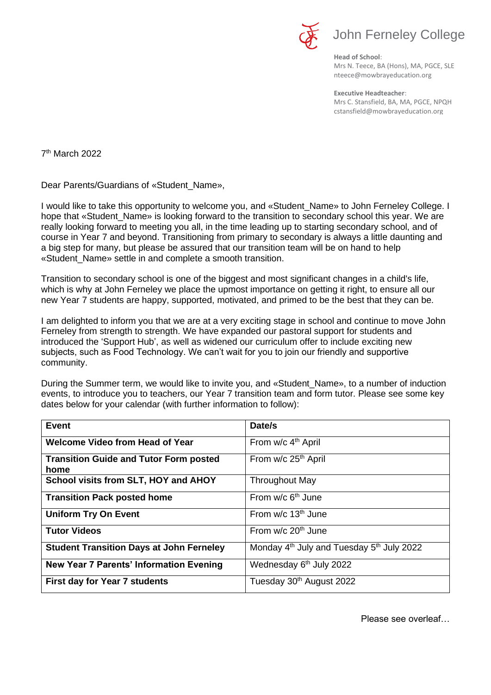

**Head of School**: Mrs N. Teece, BA (Hons), MA, PGCE, SLE nteece@mowbrayeducation.org

**Executive Headteacher**: Mrs C. Stansfield, BA, MA, PGCE, NPQH cstansfield@mowbrayeducation.org

7<sup>th</sup> March 2022

Dear Parents/Guardians of «Student\_Name»,

I would like to take this opportunity to welcome you, and «Student\_Name» to John Ferneley College. I hope that «Student\_Name» is looking forward to the transition to secondary school this year. We are really looking forward to meeting you all, in the time leading up to starting secondary school, and of course in Year 7 and beyond. Transitioning from primary to secondary is always a little daunting and a big step for many, but please be assured that our transition team will be on hand to help «Student\_Name» settle in and complete a smooth transition.

Transition to secondary school is one of the biggest and most significant changes in a child's life, which is why at John Ferneley we place the upmost importance on getting it right, to ensure all our new Year 7 students are happy, supported, motivated, and primed to be the best that they can be.

I am delighted to inform you that we are at a very exciting stage in school and continue to move John Ferneley from strength to strength. We have expanded our pastoral support for students and introduced the 'Support Hub', as well as widened our curriculum offer to include exciting new subjects, such as Food Technology. We can't wait for you to join our friendly and supportive community.

During the Summer term, we would like to invite you, and «Student\_Name», to a number of induction events, to introduce you to teachers, our Year 7 transition team and form tutor. Please see some key dates below for your calendar (with further information to follow):

| <b>Event</b>                                          | Date/s                                                            |
|-------------------------------------------------------|-------------------------------------------------------------------|
| <b>Welcome Video from Head of Year</b>                | From w/c 4 <sup>th</sup> April                                    |
| <b>Transition Guide and Tutor Form posted</b><br>home | From w/c 25 <sup>th</sup> April                                   |
| School visits from SLT, HOY and AHOY                  | <b>Throughout May</b>                                             |
| <b>Transition Pack posted home</b>                    | From $w/c$ 6 <sup>th</sup> June                                   |
| <b>Uniform Try On Event</b>                           | From $w/c$ 13 <sup>th</sup> June                                  |
| <b>Tutor Videos</b>                                   | From $w/c$ 20 <sup>th</sup> June                                  |
| <b>Student Transition Days at John Ferneley</b>       | Monday 4 <sup>th</sup> July and Tuesday 5 <sup>th</sup> July 2022 |
| <b>New Year 7 Parents' Information Evening</b>        | Wednesday 6 <sup>th</sup> July 2022                               |
| <b>First day for Year 7 students</b>                  | Tuesday 30th August 2022                                          |

Please see overleaf…